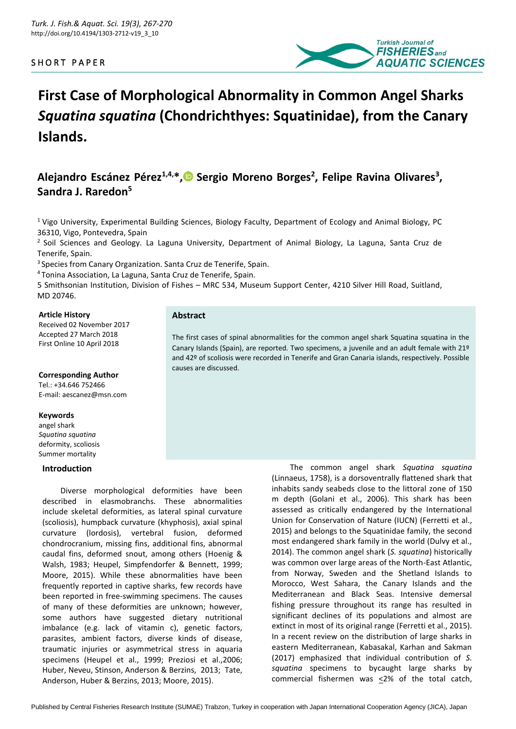# SHORT PAPER



# **First Case of Morphological Abnormality in Common Angel Sharks**  *Squatina squatina* **(Chondrichthyes: Squatinidae), from the Canary Islands.**

# **Alejandro Escánez Pérez1,4,\*[,](https://orcid.org/0000-0001-6956-2974) Sergio Moreno Borges<sup>2</sup> , Felipe Ravina Olivares<sup>3</sup> , Sandra J. Raredon<sup>5</sup>**

<sup>1</sup> Vigo University, Experimental Building Sciences, Biology Faculty, Department of Ecology and Animal Biology, PC 36310, Vigo, Pontevedra, Spain

 $<sup>2</sup>$  Soil Sciences and Geology. La Laguna University, Department of Animal Biology, La Laguna, Santa Cruz de</sup> Tenerife, Spain.

<sup>3</sup>Species from Canary Organization. Santa Cruz de Tenerife, Spain.

<sup>4</sup>Tonina Association, La Laguna, Santa Cruz de Tenerife, Spain.

5 Smithsonian Institution, Division of Fishes – MRC 534, Museum Support Center, 4210 Silver Hill Road, Suitland, MD 20746.

## **Article History**

Received 02 November 2017 Accepted 27 March 2018 First Online 10 April 2018

## **Corresponding Author**

Tel.: +34.646 752466 E-mail: aescanez@msn.com

## **Keywords**

angel shark *Squatina squatina*  deformity, scoliosis Summer mortality

## **Introduction**

Diverse morphological deformities have been described in elasmobranchs. These abnormalities include skeletal deformities, as lateral spinal curvature (scoliosis), humpback curvature (khyphosis), axial spinal curvature (lordosis), vertebral fusion, deformed chondrocranium, missing fins, additional fins, abnormal caudal fins, deformed snout, among others (Hoenig & Walsh, 1983; Heupel, Simpfendorfer & Bennett, 1999; Moore, 2015). While these abnormalities have been frequently reported in captive sharks, few records have been reported in free-swimming specimens. The causes of many of these deformities are unknown; however, some authors have suggested dietary nutritional imbalance (e.g. lack of vitamin c), genetic factors, parasites, ambient factors, diverse kinds of disease, traumatic injuries or asymmetrical stress in aquaria specimens (Heupel et al., 1999; Preziosi et al.,2006; Huber, Neveu, Stinson, Anderson & Berzins, 2013; Tate, Anderson, Huber & Berzins, 2013; Moore, 2015).

The common angel shark *Squatina squatina* (Linnaeus, 1758), is a dorsoventrally flattened shark that inhabits sandy seabeds close to the littoral zone of 150 m depth (Golani et al., 2006). This shark has been assessed as critically endangered by the International Union for Conservation of Nature (IUCN) (Ferretti et al., 2015) and belongs to the Squatinidae family, the second most endangered shark family in the world (Dulvy et al., 2014). The common angel shark (*S. squatina*) historically was common over large areas of the North-East Atlantic, from Norway, Sweden and the Shetland Islands to Morocco, West Sahara, the Canary Islands and the Mediterranean and Black Seas. Intensive demersal fishing pressure throughout its range has resulted in significant declines of its populations and almost are extinct in most of its original range (Ferretti et al., 2015). In a recent review on the distribution of large sharks in eastern Mediterranean, Kabasakal, Karhan and Sakman (2017) emphasized that individual contribution of *S. squatina* specimens to bycaught large sharks by commercial fishermen was  $\leq$ 2% of the total catch,

# **Abstract**

The first cases of spinal abnormalities for the common angel shark Squatina squatina in the Canary Islands (Spain), are reported. Two specimens, a juvenile and an adult female with 21º and 42º of scoliosis were recorded in Tenerife and Gran Canaria islands, respectively. Possible causes are discussed.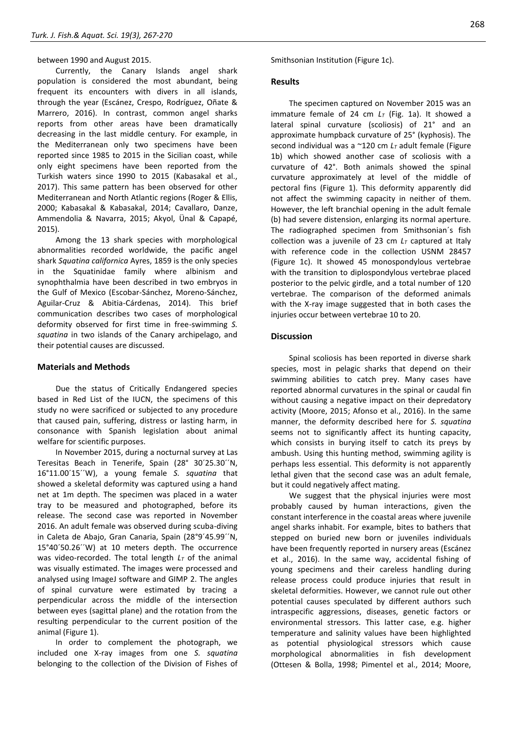# between 1990 and August 2015.

Currently, the Canary Islands angel shark population is considered the most abundant, being frequent its encounters with divers in all islands, through the year (Escánez, Crespo, Rodríguez, Oñate & Marrero, 2016). In contrast, common angel sharks reports from other areas have been dramatically decreasing in the last middle century. For example, in the Mediterranean only two specimens have been reported since 1985 to 2015 in the Sicilian coast, while only eight specimens have been reported from the Turkish waters since 1990 to 2015 (Kabasakal et al., 2017). This same pattern has been observed for other Mediterranean and North Atlantic regions (Roger & Ellis, 2000; Kabasakal & Kabasakal, 2014; Cavallaro, Danze, Ammendolia & Navarra, 2015; Akyol, Ünal & Capapé, 2015).

Among the 13 shark species with morphological abnormalities recorded worldwide, the pacific angel shark *Squatina californica* Ayres, 1859 is the only species in the Squatinidae family where albinism and synophthalmia have been described in two embryos in the Gulf of Mexico (Escobar-Sánchez, Moreno-Sánchez, Aguilar-Cruz & Abitia-Cárdenas, 2014). This brief communication describes two cases of morphological deformity observed for first time in free-swimming *S. squatina* in two islands of the Canary archipelago, and their potential causes are discussed.

# **Materials and Methods**

Due the status of Critically Endangered species based in Red List of the IUCN, the specimens of this study no were sacrificed or subjected to any procedure that caused pain, suffering, distress or lasting harm, in consonance with Spanish legislation about animal welfare for scientific purposes.

In November 2015, during a nocturnal survey at Las Teresitas Beach in Tenerife, Spain (28° 30´25.30´´N, 16°11.00´15´´W), a young female *S. squatina* that showed a skeletal deformity was captured using a hand net at 1m depth. The specimen was placed in a water tray to be measured and photographed, before its release. The second case was reported in November 2016. An adult female was observed during scuba-diving in Caleta de Abajo, Gran Canaria, Spain (28°9´45.99´´N, 15°40´50.26´´W) at 10 meters depth. The occurrence was video-recorded. The total length *L<sup>T</sup>* of the animal was visually estimated. The images were processed and analysed using ImageJ software and GIMP 2. The angles of spinal curvature were estimated by tracing a perpendicular across the middle of the intersection between eyes (sagittal plane) and the rotation from the resulting perpendicular to the current position of the animal (Figure 1).

In order to complement the photograph, we included one X-ray images from one *S. squatina* belonging to the collection of the Division of Fishes of Smithsonian Institution (Figure 1c).

# **Results**

The specimen captured on November 2015 was an immature female of 24 cm *L<sup>T</sup>* (Fig. 1a). It showed a lateral spinal curvature (scoliosis) of 21° and an approximate humpback curvature of 25° (kyphosis). The second individual was a ~120 cm *L<sup>T</sup>* adult female (Figure 1b) which showed another case of scoliosis with a curvature of 42°. Both animals showed the spinal curvature approximately at level of the middle of pectoral fins (Figure 1). This deformity apparently did not affect the swimming capacity in neither of them. However, the left branchial opening in the adult female (b) had severe distension, enlarging its normal aperture. The radiographed specimen from Smithsonian´s fish collection was a juvenile of 23 cm *L<sup>T</sup>* captured at Italy with reference code in the collection USNM 28457 (Figure 1c). It showed 45 monospondylous vertebrae with the transition to diplospondylous vertebrae placed posterior to the pelvic girdle, and a total number of 120 vertebrae. The comparison of the deformed animals with the X-ray image suggested that in both cases the injuries occur between vertebrae 10 to 20.

# **Discussion**

Spinal scoliosis has been reported in diverse shark species, most in pelagic sharks that depend on their swimming abilities to catch prey. Many cases have reported abnormal curvatures in the spinal or caudal fin without causing a negative impact on their depredatory activity (Moore, 2015; Afonso et al., 2016). In the same manner, the deformity described here for *S. squatina* seems not to significantly affect its hunting capacity, which consists in burying itself to catch its preys by ambush. Using this hunting method, swimming agility is perhaps less essential. This deformity is not apparently lethal given that the second case was an adult female, but it could negatively affect mating.

We suggest that the physical injuries were most probably caused by human interactions, given the constant interference in the coastal areas where juvenile angel sharks inhabit. For example, bites to bathers that stepped on buried new born or juveniles individuals have been frequently reported in nursery areas (Escánez et al., 2016). In the same way, accidental fishing of young specimens and their careless handling during release process could produce injuries that result in skeletal deformities. However, we cannot rule out other potential causes speculated by different authors such intraspecific aggressions, diseases, genetic factors or environmental stressors. This latter case, e.g. higher temperature and salinity values have been highlighted as potential physiological stressors which cause morphological abnormalities in fish development (Ottesen & Bolla, 1998; Pimentel et al., 2014; Moore,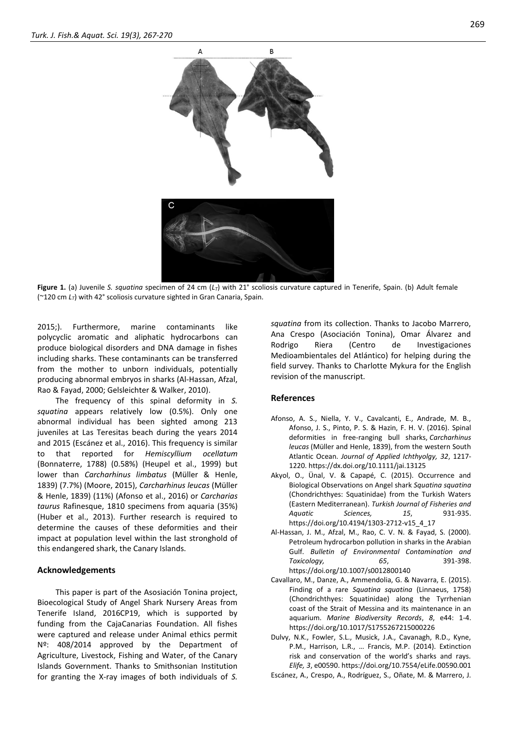

**Figure 1.** (a) Juvenile *S. squatina* specimen of 24 cm (*LT*) with 21° scoliosis curvature captured in Tenerife, Spain. (b) Adult female (~120 cm *LT*) with 42° scoliosis curvature sighted in Gran Canaria, Spain.

2015;). Furthermore, marine contaminants like polycyclic aromatic and aliphatic hydrocarbons can produce biological disorders and DNA damage in fishes including sharks. These contaminants can be transferred from the mother to unborn individuals, potentially producing abnormal embryos in sharks (Al-Hassan, Afzal, Rao & Fayad, 2000; Gelsleichter & Walker, 2010).

The frequency of this spinal deformity in *S. squatina* appears relatively low (0.5%). Only one abnormal individual has been sighted among 213 juveniles at Las Teresitas beach during the years 2014 and 2015 (Escánez et al., 2016). This frequency is similar to that reported for *Hemiscyllium ocellatum*  (Bonnaterre, 1788) (0.58%) (Heupel et al., 1999) but lower than *Carcharhinus limbatus* (Müller & Henle, 1839) (7.7%) (Moore, 2015), *Carcharhinus leucas* (Müller & Henle, 1839) (11%) (Afonso et al., 2016) or *Carcharias taurus* Rafinesque, 1810 specimens from aquaria (35%) (Huber et al., 2013). Further research is required to determine the causes of these deformities and their impact at population level within the last stronghold of this endangered shark, the Canary Islands.

#### **Acknowledgements**

This paper is part of the Asosiación Tonina project, Bioecological Study of Angel Shark Nursery Areas from Tenerife Island, 2016CP19, which is supported by funding from the CajaCanarias Foundation. All fishes were captured and release under Animal ethics permit Nº: 408/2014 approved by the Department of Agriculture, Livestock, Fishing and Water, of the Canary Islands Government. Thanks to Smithsonian Institution for granting the X-ray images of both individuals of *S.* 

*squatina* from its collection. Thanks to Jacobo Marrero, Ana Crespo (Asociación Tonina), Omar Álvarez and Rodrigo Riera (Centro de Investigaciones Medioambientales del Atlántico) for helping during the field survey. Thanks to Charlotte Mykura for the English revision of the manuscript.

#### **References**

- Afonso, A. S., Niella, Y. V., Cavalcanti, E., Andrade, M. B., Afonso, J. S., Pinto, P. S. & Hazin, F. H. V. (2016). Spinal deformities in free-ranging bull sharks, *Carcharhinus leucas* (Müller and Henle, 1839), from the western South Atlantic Ocean. *Journal of Applied Ichthyolgy, 32*, 1217- 1220. https://dx.doi.org/10.1111/jai.13125
- Akyol, O., Ünal, V. & Capapé, C. (2015). Occurrence and Biological Observations on Angel shark *Squatina squatina* (Chondrichthyes: Squatinidae) from the Turkish Waters (Eastern Mediterranean). *Turkish Journal of Fisheries and Aquatic Sciences, 15*, 931-935. https://doi.org/10.4194/1303-2712-v15\_4\_17
- Al-Hassan, J. M., Afzal, M., Rao, C. V. N. & Fayad, S. (2000). Petroleum hydrocarbon pollution in sharks in the Arabian Gulf. *Bulletin of Environmental Contamination and Toxicology, 65*, 391-398. https://doi.org/10.1007/s0012800140
- Cavallaro, M., Danze, A., Ammendolia, G. & Navarra, E. (2015). Finding of a rare *Squatina squatina* (Linnaeus, 1758) (Chondrichthyes: Squatinidae) along the Tyrrhenian coast of the Strait of Messina and its maintenance in an aquarium. *Marine Biodiversity Records*, *8*, e44: 1-4. https://doi.org/10.1017/S1755267215000226
- Dulvy, N.K., Fowler, S.L., Musick, J.A., Cavanagh, R.D., Kyne, P.M., Harrison, L.R., … Francis, M.P. (2014). Extinction risk and conservation of the world's sharks and rays. *Elife, 3*, e00590. https://doi.org/10.7554/eLife.00590.001
- Escánez, A., Crespo, A., Rodríguez, S., Oñate, M. & Marrero, J.